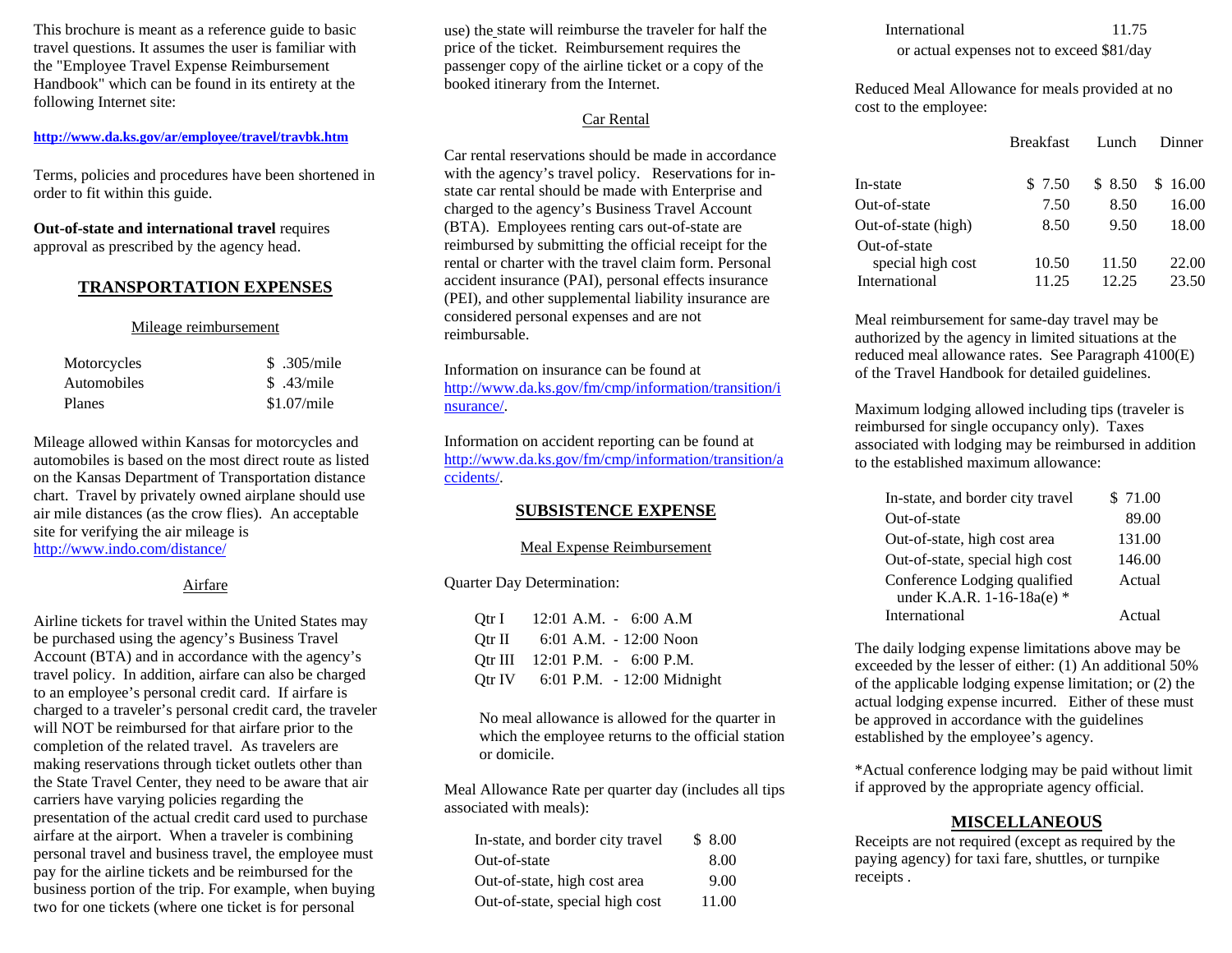This brochure is meant as a reference guide to basic travel questions. It assumes the user is familiar with the "Employee Travel Expense Reimbursement Handbook" which can be found in its entirety at the following Internet site:

# **<http://www.da.ks.gov/ar/employee/travel/travbk.htm>**

Terms, policies and procedures have been shortened in order to fit within this guide.

**Out-of-state and international travel** requires approval as prescribed by the agency head.

### **TRANSPORTATION EXPENSES**

#### Mileage reimbursement

| Motorcycles   | \$ .305/mile |
|---------------|--------------|
| Automobiles   | \$ .43/mile  |
| <b>Planes</b> | \$1.07/mile  |

Mileage allowed within Kansas for motorcycles and automobiles is based on the most direct route as listed on the Kansas Department of Transportation distance chart. Travel by privately owned airplane should use air mile distances (as the crow flies). An acceptable site for verifying the air mileage is <http://www.indo.com/distance/>

#### Airfare

Airline tickets for travel within the United States may be purchased using the agency's Business Travel Account (BTA) and in accordance with the agency's travel policy. In addition, airfare can also be charged to an employee's personal credit card. If airfare is charged to a traveler's personal credit card, the traveler will NOT be reimbursed for that airfare prior to the completion of the related travel. As travelers are making reservations through ticket outlets other than the State Travel Center, they need to be aware that air carriers have varying policies regarding the presentation of the actual credit card used to purchase airfare at the airport. When a traveler is combining personal travel and business travel, the employee must pay for the airline tickets and be reimbursed for the business portion of the trip. For example, when buying two for one tickets (where one ticket is for personal

use) the state will reimburse the traveler for half the price of the ticket. Reimbursement requires the passenger copy of the airline ticket or a copy of the booked itinerary from the Internet.

# Car Rental

Car rental reservations should be made in accordance with the agency's travel policy. Reservations for instate car rental should be made with Enterprise and charged to the agency's Business Travel Account (BTA). Employees renting cars out-of-state are reimbursed by submitting the official receipt for the rental or charter with the travel claim form. Personal accident insurance (PAI), personal effects insurance (PEI), and other supplemental liability insurance are considered personal expenses and are not reimbursable.

Information on insurance can be found at [http://www.da.ks.gov/fm/cmp/information/transition/i](http://www.da.ks.gov/fm/cmp/information/transition/insurance/) [nsurance/](http://www.da.ks.gov/fm/cmp/information/transition/insurance/).

Information on accident reporting can be found at [http://www.da.ks.gov/fm/cmp/information/transition/a](http://www.da.ks.gov/fm/cmp/information/transition/accidents/) [ccidents/](http://www.da.ks.gov/fm/cmp/information/transition/accidents/).

# **SUBSISTENCE EXPENSE**

#### Meal Expense Reimbursement

## Quarter Day Determination:

| Qtr I 12:01 A.M. - 6:00 A.M       |  |
|-----------------------------------|--|
| Qtr II 6:01 A.M. - 12:00 Noon     |  |
| Otr III $12:01$ P.M. $-6:00$ P.M. |  |
| Qtr IV 6:01 P.M. - 12:00 Midnight |  |

No meal allowance is allowed for the quarter in which the employee returns to the official station or domicile.

Meal Allowance Rate per quarter day (includes all tips associated with meals):

| In-state, and border city travel | \$8.00 |
|----------------------------------|--------|
| Out-of-state                     | 8.00   |
| Out-of-state, high cost area     | 9.00   |
| Out-of-state, special high cost  | 11.00  |

International 11.75

or actual expenses not to exceed \$81/day

Reduced Meal Allowance for meals provided at no cost to the employee:

|                     | <b>Breakfast</b> | Lunch   | Dinner  |
|---------------------|------------------|---------|---------|
| In-state            | \$ 7.50          | \$ 8.50 | \$16.00 |
| Out-of-state        | 7.50             | 8.50    | 16.00   |
| Out-of-state (high) | 8.50             | 9.50    | 18.00   |
| Out-of-state        |                  |         |         |
| special high cost   | 10.50            | 11.50   | 22.00   |
| International       | 11.25            | 12.25   | 23.50   |

Meal reimbursement for same-day travel may be authorized by the agency in limited situations at the reduced meal allowance rates. See Paragraph 4100(E) of the Travel Handbook for detailed guidelines.

Maximum lodging allowed including tips (traveler is reimbursed for single occupancy only). Taxes associated with lodging may be reimbursed in addition to the established maximum allowance:

| In-state, and border city travel | \$71.00 |
|----------------------------------|---------|
| Out-of-state                     | 89.00   |
| Out-of-state, high cost area     | 131.00  |
| Out-of-state, special high cost  | 146.00  |
| Conference Lodging qualified     | Actual  |
| under K.A.R. 1-16-18a(e) *       |         |
| International                    | Actual  |

The daily lodging expense limitations above may be exceeded by the lesser of either: (1) An additional 50% of the applicable lodging expense limitation; or (2) the actual lodging expense incurred. Either of these must be approved in accordance with the guidelines established by the employee's agency.

\*Actual conference lodging may be paid without limit if approved by the appropriate agency official.

# **MISCELLANEOU S**

Receipts are not required (except as required by the paying agency) for taxi fare, shuttles, or turnpike receipts .